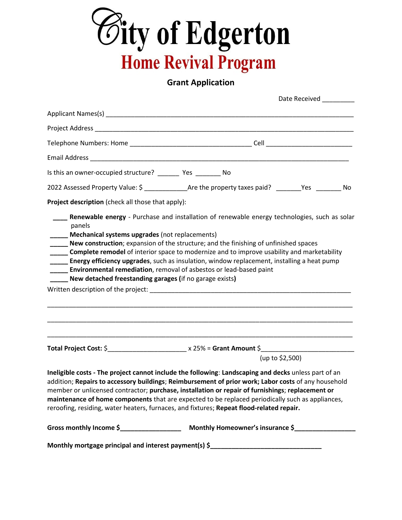

## **Grant Application**

|                                                                                                                                                                                                                                                                                                                                                                                                                                      |                 | Date Received |
|--------------------------------------------------------------------------------------------------------------------------------------------------------------------------------------------------------------------------------------------------------------------------------------------------------------------------------------------------------------------------------------------------------------------------------------|-----------------|---------------|
|                                                                                                                                                                                                                                                                                                                                                                                                                                      |                 |               |
|                                                                                                                                                                                                                                                                                                                                                                                                                                      |                 |               |
|                                                                                                                                                                                                                                                                                                                                                                                                                                      |                 |               |
|                                                                                                                                                                                                                                                                                                                                                                                                                                      |                 |               |
| Is this an owner-occupied structure? __________ Yes __________ No                                                                                                                                                                                                                                                                                                                                                                    |                 |               |
| 2022 Assessed Property Value: \$ ________________Are the property taxes paid? _______Yes ________ No                                                                                                                                                                                                                                                                                                                                 |                 |               |
| Project description (check all those that apply):                                                                                                                                                                                                                                                                                                                                                                                    |                 |               |
| New construction; expansion of the structure; and the finishing of unfinished spaces<br><b>Complete remodel</b> of interior space to modernize and to improve usability and marketability<br><b>Energy efficiency upgrades</b> , such as insulation, window replacement, installing a heat pump<br>___ Environmental remediation, removal of asbestos or lead-based paint<br>New detached freestanding garages (if no garage exists) |                 |               |
|                                                                                                                                                                                                                                                                                                                                                                                                                                      |                 |               |
|                                                                                                                                                                                                                                                                                                                                                                                                                                      | (up to \$2,500) |               |